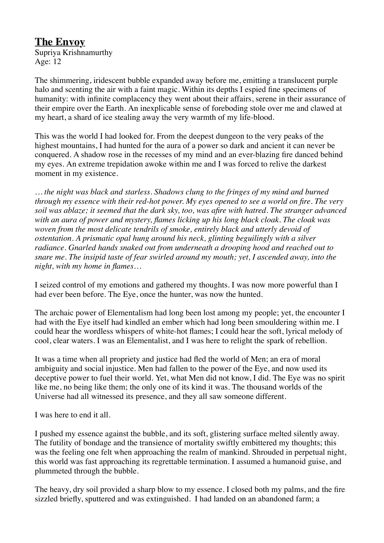## **The Envoy**

Supriya Krishnamurthy Age: 12

The shimmering, iridescent bubble expanded away before me, emitting a translucent purple halo and scenting the air with a faint magic. Within its depths I espied fine specimens of humanity: with infinite complacency they went about their affairs, serene in their assurance of their empire over the Earth. An inexplicable sense of foreboding stole over me and clawed at my heart, a shard of ice stealing away the very warmth of my life-blood.

This was the world I had looked for. From the deepest dungeon to the very peaks of the highest mountains, I had hunted for the aura of a power so dark and ancient it can never be conquered. A shadow rose in the recesses of my mind and an ever-blazing fire danced behind my eyes. An extreme trepidation awoke within me and I was forced to relive the darkest moment in my existence.

*… the night was black and starless. Shadows clung to the fringes of my mind and burned through my essence with their red-hot power. My eyes opened to see a world on fire. The very soil was ablaze; it seemed that the dark sky, too, was afire with hatred. The stranger advanced with an aura of power and mystery, flames licking up his long black cloak. The cloak was woven from the most delicate tendrils of smoke, entirely black and utterly devoid of ostentation. A prismatic opal hung around his neck, glinting beguilingly with a silver radiance. Gnarled hands snaked out from underneath a drooping hood and reached out to snare me. The insipid taste of fear swirled around my mouth; yet, I ascended away, into the night, with my home in flames…*

I seized control of my emotions and gathered my thoughts. I was now more powerful than I had ever been before. The Eye, once the hunter, was now the hunted.

The archaic power of Elementalism had long been lost among my people; yet, the encounter I had with the Eye itself had kindled an ember which had long been smouldering within me. I could hear the wordless whispers of white-hot flames; I could hear the soft, lyrical melody of cool, clear waters. I was an Elementalist, and I was here to relight the spark of rebellion.

It was a time when all propriety and justice had fled the world of Men; an era of moral ambiguity and social injustice. Men had fallen to the power of the Eye, and now used its deceptive power to fuel their world. Yet, what Men did not know, I did. The Eye was no spirit like me, no being like them; the only one of its kind it was. The thousand worlds of the Universe had all witnessed its presence, and they all saw someone different.

I was here to end it all.

I pushed my essence against the bubble, and its soft, glistering surface melted silently away. The futility of bondage and the transience of mortality swiftly embittered my thoughts; this was the feeling one felt when approaching the realm of mankind. Shrouded in perpetual night, this world was fast approaching its regrettable termination. I assumed a humanoid guise, and plummeted through the bubble.

The heavy, dry soil provided a sharp blow to my essence. I closed both my palms, and the fire sizzled briefly, sputtered and was extinguished. I had landed on an abandoned farm; a